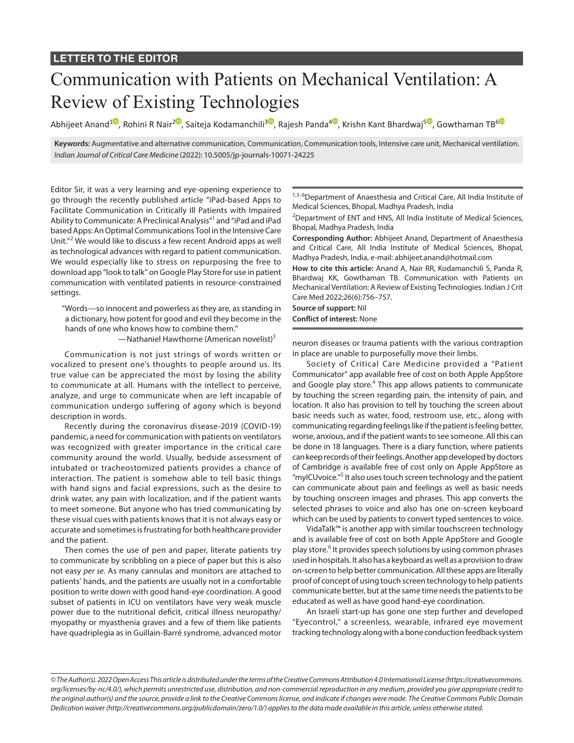## Communication with Patients on Mechanical Ventilation: A Review of Existing Technologies

Abhijeet Anand<sup>[1](https://orcid.org/0000-0001-6498-5388)</sup>, Rohini R Nair<sup>[2](https://orcid.org/0000-0002-6537-6506)0</sup>, Saiteja Kodamanchili<sup>[3](https://orcid.org/0000-0003-1033-0321)0</sup>, Rajesh Panda<sup>[4](https://orcid.org/0000-0001-7123-876X)0</sup>, Krishn Kant Bhardwaj<sup>[5](https://orcid.org/0000-0002-2207-0654)0</sup>, Gowthaman TB<sup>[6](https://orcid.org/0000-0002-0301-3793)0</sup>

**Keywords:** Augmentative and alternative communication, Communication, Communication tools, Intensive care unit, Mechanical ventilation. *Indian Journal of Critical Care Medicine* (2022): 10.5005/jp-journals-10071-24225

Editor Sir, it was a very learning and eye-opening experience to go through the recently published article "iPad-based Apps to Facilitate Communication in Critically Ill Patients with Impaired Ability to Communicate: A Preclinical Analysis"<sup>1</sup> and "iPad and iPad based Apps: An Optimal Communications Tool in the Intensive Care Unit."<sup>[2](#page-1-1)</sup> We would like to discuss a few recent Android apps as well as technological advances with regard to patient communication. We would especially like to stress on repurposing the free to download app "look to talk" on Google Play Store for use in patient communication with ventilated patients in resource-constrained settings.

"Words—so innocent and powerless as they are, as standing in a dictionary, how potent for good and evil they become in the hands of one who knows how to combine them."

—Nathaniel Hawthorne (American novelist)<sup>3</sup>

Communication is not just strings of words written or vocalized to present one's thoughts to people around us. Its true value can be appreciated the most by losing the ability to communicate at all. Humans with the intellect to perceive, analyze, and urge to communicate when are left incapable of communication undergo suffering of agony which is beyond description in words.

Recently during the coronavirus disease-2019 (COVID-19) pandemic, a need for communication with patients on ventilators was recognized with greater importance in the critical care community around the world. Usually, bedside assessment of intubated or tracheostomized patients provides a chance of interaction. The patient is somehow able to tell basic things with hand signs and facial expressions, such as the desire to drink water, any pain with localization, and if the patient wants to meet someone. But anyone who has tried communicating by these visual cues with patients knows that it is not always easy or accurate and sometimes is frustrating for both healthcare provider and the patient.

Then comes the use of pen and paper, literate patients try to communicate by scribbling on a piece of paper but this is also not easy *per se*. As many cannulas and monitors are attached to patients' hands, and the patients are usually not in a comfortable position to write down with good hand-eye coordination. A good subset of patients in ICU on ventilators have very weak muscle power due to the nutritional deficit, critical illness neuropathy/ myopathy or myasthenia graves and a few of them like patients have quadriplegia as in Guillain-Barré syndrome, advanced motor

1,3-6Department of Anaesthesia and Critical Care, All India Institute of Medical Sciences, Bhopal, Madhya Pradesh, India

<sup>2</sup>Department of ENT and HNS, All India Institute of Medical Sciences, Bhopal, Madhya Pradesh, India

**Corresponding Author:** Abhijeet Anand, Department of Anaesthesia and Critical Care, All India Institute of Medical Sciences, Bhopal, Madhya Pradesh, India, e-mail: abhijeet.anand@hotmail.com

**How to cite this article:** Anand A, Nair RR, Kodamanchili S, Panda R, Bhardwaj KK, Gowthaman TB. Communication with Patients on Mechanical Ventilation: A Review of Existing Technologies. Indian J Crit Care Med 2022;26(6):756–757.

**Source of support:** Nil **Conflict of interest:** None

neuron diseases or trauma patients with the various contraption in place are unable to purposefully move their limbs.

Society of Critical Care Medicine provided a "Patient Communicator" app available free of cost on both Apple AppStore and Google play store.<sup>4</sup> This app allows patients to communicate by touching the screen regarding pain, the intensity of pain, and location. It also has provision to tell by touching the screen about basic needs such as water, food, restroom use, etc., along with communicating regarding feelings like if the patient is feeling better, worse, anxious, and if the patient wants to see someone. All this can be done in 18 languages. There is a diary function, where patients can keep records of their feelings. Another app developed by doctors of Cambridge is available free of cost only on Apple AppStore as "myICUvoice."<sup>5</sup> It also uses touch screen technology and the patient can communicate about pain and feelings as well as basic needs by touching onscreen images and phrases. This app converts the selected phrases to voice and also has one on-screen keyboard which can be used by patients to convert typed sentences to voice.

VidaTalk™ is another app with similar touchscreen technology and is available free of cost on both Apple AppStore and Google play store.<sup>[6](#page-1-5)</sup> It provides speech solutions by using common phrases used in hospitals. It also has a keyboard as well as a provision to draw on-screen to help better communication. All these apps are literally proof of concept of using touch screen technology to help patients communicate better, but at the same time needs the patients to be educated as well as have good hand-eye coordination.

An Israeli start-up has gone one step further and developed "Eyecontrol," a screenless, wearable, infrared eye movement tracking technology along with a bone conduction feedback system

*<sup>©</sup> The Author(s). 2022 Open Access This article is distributed under the terms of the Creative Commons Attribution 4.0 International License ([https://creativecommons.](https://creativecommons.org/licenses/by-nc/4.0/) [org/licenses/by-nc/4.0/](https://creativecommons.org/licenses/by-nc/4.0/)), which permits unrestricted use, distribution, and non-commercial reproduction in any medium, provided you give appropriate credit to the original author(s) and the source, provide a link to the Creative Commons license, and indicate if changes were made. The Creative Commons Public Domain Dedication waiver ([http://creativecommons.org/publicdomain/zero/1.0/\)](http://creativecommons.org/publicdomain/zero/1.0/) applies to the data made available in this article, unless otherwise stated.*